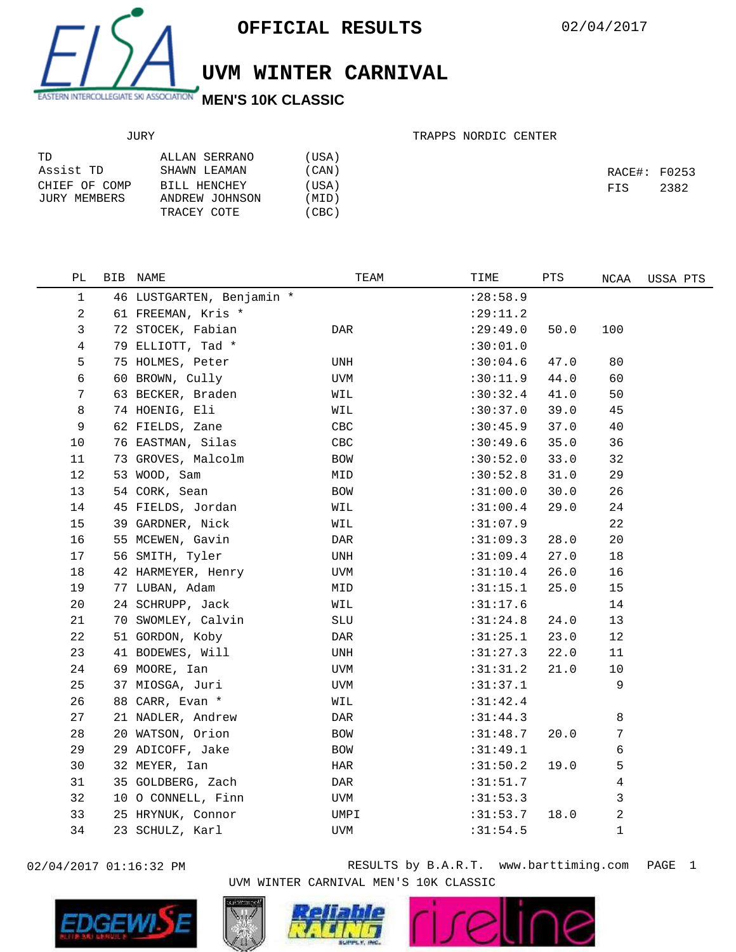

## **UVM WINTER CARNIVAL**

## JURY

## TRAPPS NORDIC CENTER

| TD            | ALLAN SERRANO  | (USA) |              |      |
|---------------|----------------|-------|--------------|------|
| Assist TD     | SHAWN LEAMAN   | (CAN) | RACE#: F0253 |      |
| CHIEF OF COMP | BILL HENCHEY   | (USA) | FIS          | 2382 |
| JURY MEMBERS  | ANDREW JOHNSON | (MID) |              |      |
|               | TRACEY COTE    | (CBC) |              |      |

| РL | BIB NAME                  | TEAM                 | TIME      | PTS  | NCAA | USSA PTS |
|----|---------------------------|----------------------|-----------|------|------|----------|
| 1  | 46 LUSTGARTEN, Benjamin * |                      | : 28:58.9 |      |      |          |
| 2  | 61 FREEMAN, Kris *        |                      | : 29:11.2 |      |      |          |
| 3  | 72 STOCEK, Fabian         | DAR                  | :29:49.0  | 50.0 | 100  |          |
| 4  | 79 ELLIOTT, Tad *         |                      | :30:01.0  |      |      |          |
| 5  | 75 HOLMES, Peter          | UNH                  | :30:04.6  | 47.0 | 80   |          |
| 6  | 60 BROWN, Cully           | UVM                  | :30:11.9  | 44.0 | 60   |          |
| 7  | 63 BECKER, Braden         | WIL                  | :30:32.4  | 41.0 | 50   |          |
| 8  | 74 HOENIG, Eli            | WIL                  | :30:37.0  | 39.0 | 45   |          |
| 9  | 62 FIELDS, Zane           | CBC                  | :30:45.9  | 37.0 | 40   |          |
| 10 | 76 EASTMAN, Silas         | CBC                  | :30:49.6  | 35.0 | 36   |          |
| 11 | 73 GROVES, Malcolm        | BOW                  | :30:52.0  | 33.0 | 32   |          |
| 12 | 53 WOOD, Sam              | MID                  | :30:52.8  | 31.0 | 29   |          |
| 13 | 54 CORK, Sean             | BOW                  | :31:00.0  | 30.0 | 26   |          |
| 14 | 45 FIELDS, Jordan         | WIL                  | :31:00.4  | 29.0 | 24   |          |
| 15 | 39 GARDNER, Nick          | WIL                  | :31:07.9  |      | 22   |          |
| 16 | 55 MCEWEN, Gavin          | DAR                  | :31:09.3  | 28.0 | 20   |          |
| 17 | 56 SMITH, Tyler           | UNH                  | :31:09.4  | 27.0 | 18   |          |
| 18 | 42 HARMEYER, Henry        | <b>UVM</b>           | :31:10.4  | 26.0 | 16   |          |
| 19 | 77 LUBAN, Adam            | MID                  | :31:15.1  | 25.0 | 15   |          |
| 20 | 24 SCHRUPP, Jack          | WIL                  | :31:17.6  |      | 14   |          |
| 21 | 70 SWOMLEY, Calvin        | $\operatorname{SLU}$ | :31:24.8  | 24.0 | 13   |          |
| 22 | 51 GORDON, Koby           | DAR                  | :31:25.1  | 23.0 | 12   |          |
| 23 | 41 BODEWES, Will          | UNH                  | :31:27.3  | 22.0 | 11   |          |
| 24 | 69 MOORE, Ian             | UVM                  | :31:31.2  | 21.0 | 10   |          |
| 25 | 37 MIOSGA, Juri           | <b>UVM</b>           | :31:37.1  |      | 9    |          |
| 26 | 88 CARR, Evan *           | WIL                  | :31:42.4  |      |      |          |
| 27 | 21 NADLER, Andrew         | DAR                  | :31:44.3  |      | 8    |          |
| 28 | 20 WATSON, Orion          | BOW                  | :31:48.7  | 20.0 | 7    |          |
| 29 | 29 ADICOFF, Jake          | <b>BOW</b>           | :31:49.1  |      | 6    |          |
| 30 | 32 MEYER, Ian             | HAR                  | :31:50.2  | 19.0 | 5    |          |
| 31 | 35 GOLDBERG, Zach         | DAR                  | :31:51.7  |      | 4    |          |
| 32 | 10 O CONNELL, Finn        | UVM                  | :31:53.3  |      | 3    |          |
| 33 | 25 HRYNUK, Connor         | UMPI                 | :31:53.7  | 18.0 | 2    |          |
| 34 | 23 SCHULZ, Karl           | UVM                  | :31:54.5  |      | 1    |          |
|    |                           |                      |           |      |      |          |



02/04/2017 01:16:32 PM RESULTS by B.A.R.T. www.barttiming.com PAGE 1 UVM WINTER CARNIVAL MEN'S 10K CLASSIC

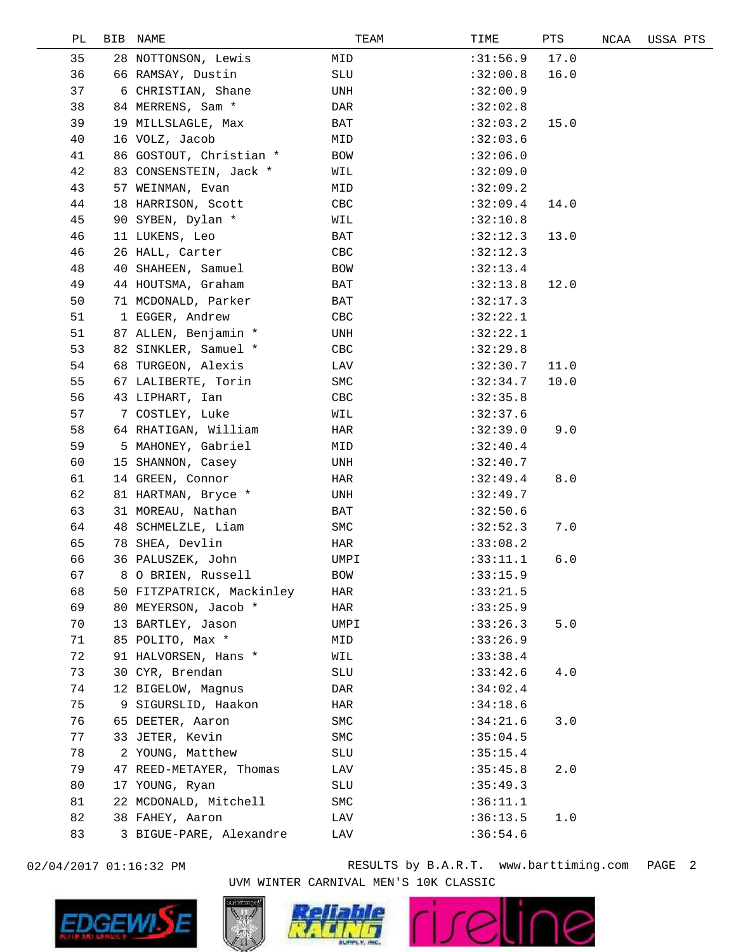| РL | <b>BIB</b> | NAME                      | TEAM       | TIME     | PTS   | NCAA | USSA PTS |
|----|------------|---------------------------|------------|----------|-------|------|----------|
| 35 |            | 28 NOTTONSON, Lewis       | MID        | :31:56.9 | 17.0  |      |          |
| 36 |            | 66 RAMSAY, Dustin         | SLU        | :32:00.8 | 16.0  |      |          |
| 37 |            | 6 CHRISTIAN, Shane        | UNH        | :32:00.9 |       |      |          |
| 38 |            | 84 MERRENS, Sam *         | DAR        | :32:02.8 |       |      |          |
| 39 |            | 19 MILLSLAGLE, Max        | BAT        | :32:03.2 | 15.0  |      |          |
| 40 |            | 16 VOLZ, Jacob            | MID        | :32:03.6 |       |      |          |
| 41 |            | 86 GOSTOUT, Christian *   | BOW        | :32:06.0 |       |      |          |
| 42 |            | 83 CONSENSTEIN, Jack *    | WIL        | :32:09.0 |       |      |          |
| 43 |            | 57 WEINMAN, Evan          | MID        | :32:09.2 |       |      |          |
| 44 |            | 18 HARRISON, Scott        | CBC        | :32:09.4 | 14.0  |      |          |
| 45 |            | 90 SYBEN, Dylan *         | WIL        | :32:10.8 |       |      |          |
| 46 |            | 11 LUKENS, Leo            | BAT        | :32:12.3 | 13.0  |      |          |
| 46 |            | 26 HALL, Carter           | CBC        | :32:12.3 |       |      |          |
| 48 |            | 40 SHAHEEN, Samuel        | BOW        | :32:13.4 |       |      |          |
| 49 |            | 44 HOUTSMA, Graham        | BAT        | :32:13.8 | 12.0  |      |          |
| 50 |            | 71 MCDONALD, Parker       | BAT        | :32:17.3 |       |      |          |
| 51 |            | 1 EGGER, Andrew           | CBC        | :32:22.1 |       |      |          |
| 51 |            | 87 ALLEN, Benjamin *      | UNH        | :32:22.1 |       |      |          |
| 53 |            | 82 SINKLER, Samuel *      | CBC        | :32:29.8 |       |      |          |
| 54 |            | 68 TURGEON, Alexis        | LAV        | :32:30.7 | 11.0  |      |          |
| 55 |            | 67 LALIBERTE, Torin       | SMC        | :32:34.7 | 10.0  |      |          |
| 56 |            | 43 LIPHART, Ian           | CBC        | :32:35.8 |       |      |          |
| 57 |            | 7 COSTLEY, Luke           | WIL        | :32:37.6 |       |      |          |
| 58 |            | 64 RHATIGAN, William      | HAR        | :32:39.0 | 9.0   |      |          |
| 59 |            | 5 MAHONEY, Gabriel        | MID        | :32:40.4 |       |      |          |
| 60 |            | 15 SHANNON, Casey         | UNH        | :32:40.7 |       |      |          |
| 61 |            | 14 GREEN, Connor          | HAR        | :32:49.4 | 8.0   |      |          |
| 62 |            | 81 HARTMAN, Bryce *       | UNH        | :32:49.7 |       |      |          |
| 63 |            | 31 MOREAU, Nathan         | BAT        | :32:50.6 |       |      |          |
| 64 |            | 48 SCHMELZLE, Liam        | SMC        | :32:52.3 | 7.0   |      |          |
| 65 |            | 78 SHEA, Devlin           | HAR        | :33:08.2 |       |      |          |
| 66 |            | 36 PALUSZEK, John         | UMPI       | :33:11.1 | 6.0   |      |          |
| 67 |            | 8 O BRIEN, Russell        | <b>BOW</b> | :33:15.9 |       |      |          |
| 68 |            | 50 FITZPATRICK, Mackinley | HAR        | :33:21.5 |       |      |          |
| 69 |            | 80 MEYERSON, Jacob *      | HAR        | :33:25.9 |       |      |          |
| 70 |            | 13 BARTLEY, Jason         | UMPI       | :33:26.3 | $5.0$ |      |          |
| 71 |            | 85 POLITO, Max *          | MID        | :33:26.9 |       |      |          |
| 72 |            | 91 HALVORSEN, Hans *      | WIL        | :33:38.4 |       |      |          |
| 73 |            | 30 CYR, Brendan           | SLU        | :33:42.6 | 4.0   |      |          |
| 74 |            | 12 BIGELOW, Magnus        | DAR        | :34:02.4 |       |      |          |
| 75 |            | 9 SIGURSLID, Haakon       | HAR        | :34:18.6 |       |      |          |
| 76 |            | 65 DEETER, Aaron          | <b>SMC</b> | :34:21.6 | 3.0   |      |          |
| 77 |            | 33 JETER, Kevin           | SMC        | :35:04.5 |       |      |          |
| 78 |            | 2 YOUNG, Matthew          | SLU        | :35:15.4 |       |      |          |
| 79 |            | 47 REED-METAYER, Thomas   | LAV        | :35:45.8 | 2.0   |      |          |
| 80 |            | 17 YOUNG, Ryan            | SLU        | :35:49.3 |       |      |          |
| 81 |            | 22 MCDONALD, Mitchell     | SMC        | :36:11.1 |       |      |          |
| 82 |            | 38 FAHEY, Aaron           | LAV        | :36:13.5 | 1.0   |      |          |
| 83 |            | 3 BIGUE-PARE, Alexandre   | LAV        | :36:54.6 |       |      |          |
|    |            |                           |            |          |       |      |          |



02/04/2017 01:16:32 PM RESULTS by B.A.R.T. www.barttiming.com PAGE 2 UVM WINTER CARNIVAL MEN'S 10K CLASSIC